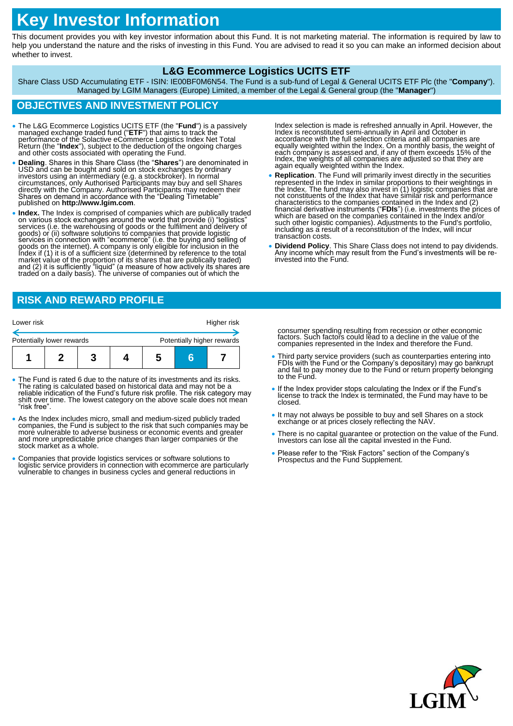# **Key Investor Information**

This document provides you with key investor information about this Fund. It is not marketing material. The information is required by law to help you understand the nature and the risks of investing in this Fund. You are advised to read it so you can make an informed decision about whether to invest.

### **L&G Ecommerce Logistics UCITS ETF**

Share Class USD Accumulating ETF - ISIN: IE00BF0M6N54. The Fund is a sub-fund of Legal & General UCITS ETF Plc (the "**Company**"). Managed by LGIM Managers (Europe) Limited, a member of the Legal & General group (the "**Manager**")

## **OBJECTIVES AND INVESTMENT POLICY**

- The L&G Ecommerce Logistics UCITS ETF (the "**Fund**") is a passively managed exchange traded fund ("ETF") that aims to track the performance of the Solactive eCommerce Logistics Index Net Total Return (the "Index"), subje
- **Dealing**. Shares in this Share Class (the "**Shares**") are denominated in USD and can be bought and sold on stock exchanges by ordinary investors using an intermediary (e.g. a stockbroker). In normal<br>circumstances, only Authorised Participants may buy and sell Shares<br>directly with the Company. Authorised Participants may redeem their<br>Shares on demand in ac published on **http://www.lgim.com**.
- **Index.** The Index is comprised of companies which are publically traded on various stock exchanges around the world that provide (i) "logistics" services (i.e. the warehousing of goods or the fulfilment and delivery of goods) or (ii) software solutions to companies that provide logistic services in connection with "ecommerce" (i.e. the buying and selling of goods on the internet). A company is only eligible for inclusion in the Index if (1) it is of a sufficient size (determined by reference to the total<br>market value of the proportion of its shares that are publically traded)<br>and (2) it is sufficiently "liquid" (a measure of how actively its shar

# **RISK AND REWARD PROFILE**

| Lower risk                |  |  |  |                            | Higher risk |  |
|---------------------------|--|--|--|----------------------------|-------------|--|
| Potentially lower rewards |  |  |  | Potentially higher rewards |             |  |
|                           |  |  |  | b                          |             |  |

- The Fund is rated 6 due to the nature of its investments and its risks. The rating is calculated based on historical data and may not be a reliable indication of the Fund's future risk profile. The risk category may shift over time. The lowest category on the above scale does not mean "risk free".
- As the Index includes micro, small and medium-sized publicly traded companies, the Fund is subject to the risk that such companies may be more vulnerable to adverse business or economic events and greater and more unpredictable price changes than larger companies or the stock market as a whole.
- Companies that provide logistics services or software solutions to logistic service providers in connection with ecommerce are particularly vulnerable to changes in business cycles and general reductions in

Index selection is made is refreshed annually in April. However, the<br>Index is reconstituted semi-annually in April and October in<br>accordance with the full selection criteria and all companies are<br>equally weighted within th Index, the weights of all companies are adjusted so that they are again equally weighted within the Index.

- **Replication**. The Fund will primarily invest directly in the securities represented in the Index in similar proportions to their weightings in<br>the Index. The fund may also invest in (1) logistic companies that are<br>not constituents of the Index that have similar risk and performance characteristics to the companies contained in the Index and (2) financial derivative instruments ("FDIs") (i.e. investments the prices of which are based on the companies contained in the lndex and/or such other logistic companies). Adjustments to the Fund's portfolio, including as a result of a reconstitution of the Index, will incur transaction costs.
- **Dividend Policy**. This Share Class does not intend to pay dividends. Any income which may result from the Fund's investments will be reinvested into the Fund.

consumer spending resulting from recession or other economic factors. Such factors could lead to a decline in the value of the<br>companies represented in the Index and therefore the Fund.

- Third party service providers (such as counterparties entering into FDIs with the Fund or the Company's depositary) may go bankrupt and fail to pay money due to the Fund or return property belonging to the Fund.
- If the Index provider stops calculating the Index or if the Fund's license to track the Index is terminated, the Fund may have to be closed.
- It may not always be possible to buy and sell Shares on a stock exchange or at prices closely reflecting the NAV.
- There is no capital guarantee or protection on the value of the Fund. Investors can lose all the capital invested in the Fund.
- Please refer to the "Risk Factors" section of the Company's Prospectus and the Fund Supplement.